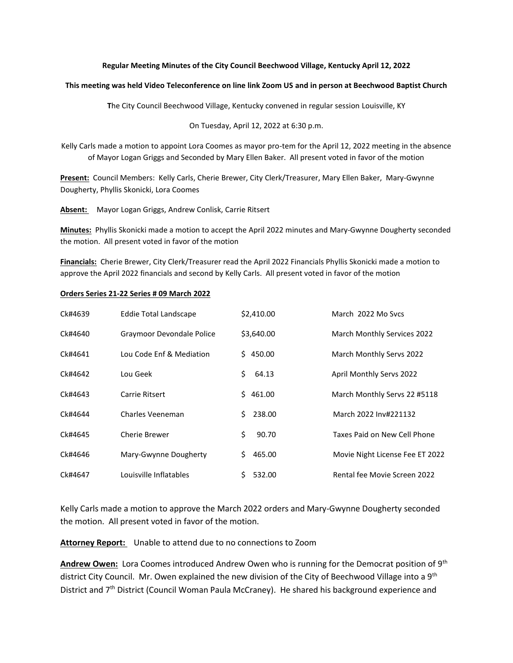### **Regular Meeting Minutes of the City Council Beechwood Village, Kentucky April 12, 2022**

#### **This meeting was held Video Teleconference on line link Zoom US and in person at Beechwood Baptist Church**

**T**he City Council Beechwood Village, Kentucky convened in regular session Louisville, KY

On Tuesday, April 12, 2022 at 6:30 p.m.

Kelly Carls made a motion to appoint Lora Coomes as mayor pro-tem for the April 12, 2022 meeting in the absence of Mayor Logan Griggs and Seconded by Mary Ellen Baker. All present voted in favor of the motion

**Present:** Council Members: Kelly Carls, Cherie Brewer, City Clerk/Treasurer, Mary Ellen Baker, Mary-Gwynne Dougherty, Phyllis Skonicki, Lora Coomes

**Absent:** Mayor Logan Griggs, Andrew Conlisk, Carrie Ritsert

**Minutes:** Phyllis Skonicki made a motion to accept the April 2022 minutes and Mary-Gwynne Dougherty seconded the motion. All present voted in favor of the motion

**Financials:** Cherie Brewer, City Clerk/Treasurer read the April 2022 Financials Phyllis Skonicki made a motion to approve the April 2022 financials and second by Kelly Carls. All present voted in favor of the motion

#### **Orders Series 21-22 Series # 09 March 2022**

| Ck#4639 | <b>Eddie Total Landscape</b> | \$2,410.00   | March 2022 Mo Sycs              |
|---------|------------------------------|--------------|---------------------------------|
| Ck#4640 | Graymoor Devondale Police    | \$3,640.00   | March Monthly Services 2022     |
| Ck#4641 | Lou Code Enf & Mediation     | \$450.00     | March Monthly Servs 2022        |
| Ck#4642 | Lou Geek                     | Ś.<br>64.13  | April Monthly Servs 2022        |
| Ck#4643 | Carrie Ritsert               | \$461.00     | March Monthly Servs 22 #5118    |
| Ck#4644 | Charles Veeneman             | 238.00<br>S. | March 2022 Inv#221132           |
| Ck#4645 | Cherie Brewer                | \$<br>90.70  | Taxes Paid on New Cell Phone    |
| Ck#4646 | Mary-Gwynne Dougherty        | 465.00<br>S. | Movie Night License Fee ET 2022 |
| Ck#4647 | Louisville Inflatables       | 532.00<br>Ś. | Rental fee Movie Screen 2022    |

Kelly Carls made a motion to approve the March 2022 orders and Mary-Gwynne Dougherty seconded the motion. All present voted in favor of the motion.

Attorney Report: Unable to attend due to no connections to Zoom

Andrew Owen: Lora Coomes introduced Andrew Owen who is running for the Democrat position of 9<sup>th</sup> district City Council. Mr. Owen explained the new division of the City of Beechwood Village into a 9<sup>th</sup> District and 7<sup>th</sup> District (Council Woman Paula McCraney). He shared his background experience and